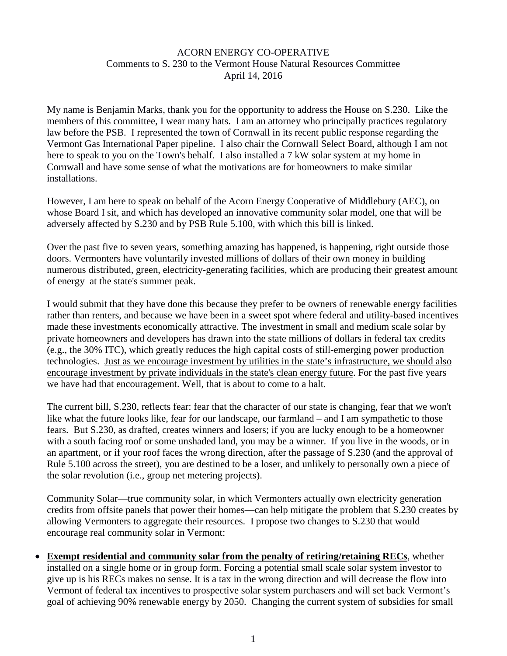## ACORN ENERGY CO-OPERATIVE Comments to S. 230 to the Vermont House Natural Resources Committee April 14, 2016

My name is Benjamin Marks, thank you for the opportunity to address the House on S.230. Like the members of this committee, I wear many hats. I am an attorney who principally practices regulatory law before the PSB. I represented the town of Cornwall in its recent public response regarding the Vermont Gas International Paper pipeline. I also chair the Cornwall Select Board, although I am not here to speak to you on the Town's behalf. I also installed a 7 kW solar system at my home in Cornwall and have some sense of what the motivations are for homeowners to make similar installations.

However, I am here to speak on behalf of the Acorn Energy Cooperative of Middlebury (AEC), on whose Board I sit, and which has developed an innovative community solar model, one that will be adversely affected by S.230 and by PSB Rule 5.100, with which this bill is linked.

Over the past five to seven years, something amazing has happened, is happening, right outside those doors. Vermonters have voluntarily invested millions of dollars of their own money in building numerous distributed, green, electricity-generating facilities, which are producing their greatest amount of energy at the state's summer peak.

I would submit that they have done this because they prefer to be owners of renewable energy facilities rather than renters, and because we have been in a sweet spot where federal and utility-based incentives made these investments economically attractive. The investment in small and medium scale solar by private homeowners and developers has drawn into the state millions of dollars in federal tax credits (e.g., the 30% ITC), which greatly reduces the high capital costs of still-emerging power production technologies. Just as we encourage investment by utilities in the state's infrastructure, we should also encourage investment by private individuals in the state's clean energy future. For the past five years we have had that encouragement. Well, that is about to come to a halt.

The current bill, S.230, reflects fear: fear that the character of our state is changing, fear that we won't like what the future looks like, fear for our landscape, our farmland – and I am sympathetic to those fears. But S.230, as drafted, creates winners and losers; if you are lucky enough to be a homeowner with a south facing roof or some unshaded land, you may be a winner. If you live in the woods, or in an apartment, or if your roof faces the wrong direction, after the passage of S.230 (and the approval of Rule 5.100 across the street), you are destined to be a loser, and unlikely to personally own a piece of the solar revolution (i.e., group net metering projects).

Community Solar—true community solar, in which Vermonters actually own electricity generation credits from offsite panels that power their homes—can help mitigate the problem that S.230 creates by allowing Vermonters to aggregate their resources. I propose two changes to S.230 that would encourage real community solar in Vermont:

 **Exempt residential and community solar from the penalty of retiring/retaining RECs**, whether installed on a single home or in group form. Forcing a potential small scale solar system investor to give up is his RECs makes no sense. It is a tax in the wrong direction and will decrease the flow into Vermont of federal tax incentives to prospective solar system purchasers and will set back Vermont's goal of achieving 90% renewable energy by 2050. Changing the current system of subsidies for small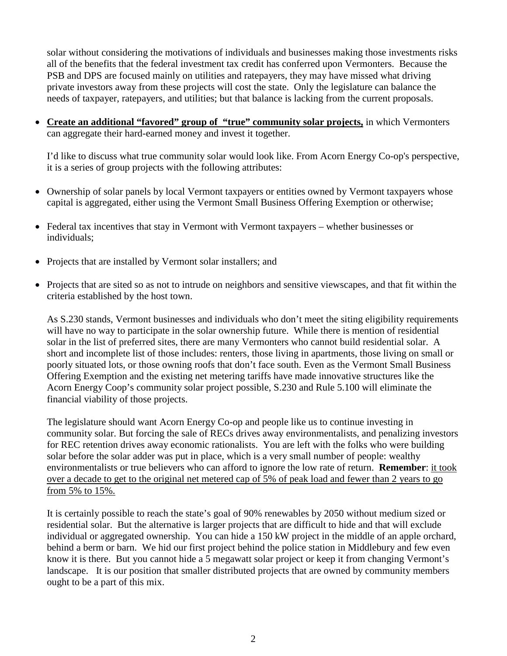solar without considering the motivations of individuals and businesses making those investments risks all of the benefits that the federal investment tax credit has conferred upon Vermonters. Because the PSB and DPS are focused mainly on utilities and ratepayers, they may have missed what driving private investors away from these projects will cost the state. Only the legislature can balance the needs of taxpayer, ratepayers, and utilities; but that balance is lacking from the current proposals.

 **Create an additional "favored" group of "true" community solar projects,** in which Vermonters can aggregate their hard-earned money and invest it together.

I'd like to discuss what true community solar would look like. From Acorn Energy Co-op's perspective, it is a series of group projects with the following attributes:

- Ownership of solar panels by local Vermont taxpayers or entities owned by Vermont taxpayers whose capital is aggregated, either using the Vermont Small Business Offering Exemption or otherwise;
- Federal tax incentives that stay in Vermont with Vermont taxpayers whether businesses or individuals;
- Projects that are installed by Vermont solar installers; and
- Projects that are sited so as not to intrude on neighbors and sensitive viewscapes, and that fit within the criteria established by the host town.

As S.230 stands, Vermont businesses and individuals who don't meet the siting eligibility requirements will have no way to participate in the solar ownership future. While there is mention of residential solar in the list of preferred sites, there are many Vermonters who cannot build residential solar. A short and incomplete list of those includes: renters, those living in apartments, those living on small or poorly situated lots, or those owning roofs that don't face south. Even as the Vermont Small Business Offering Exemption and the existing net metering tariffs have made innovative structures like the Acorn Energy Coop's community solar project possible, S.230 and Rule 5.100 will eliminate the financial viability of those projects.

The legislature should want Acorn Energy Co-op and people like us to continue investing in community solar. But forcing the sale of RECs drives away environmentalists, and penalizing investors for REC retention drives away economic rationalists. You are left with the folks who were building solar before the solar adder was put in place, which is a very small number of people: wealthy environmentalists or true believers who can afford to ignore the low rate of return. **Remember**: it took over a decade to get to the original net metered cap of 5% of peak load and fewer than 2 years to go from 5% to 15%.

It is certainly possible to reach the state's goal of 90% renewables by 2050 without medium sized or residential solar. But the alternative is larger projects that are difficult to hide and that will exclude individual or aggregated ownership. You can hide a 150 kW project in the middle of an apple orchard, behind a berm or barn. We hid our first project behind the police station in Middlebury and few even know it is there. But you cannot hide a 5 megawatt solar project or keep it from changing Vermont's landscape. It is our position that smaller distributed projects that are owned by community members ought to be a part of this mix.